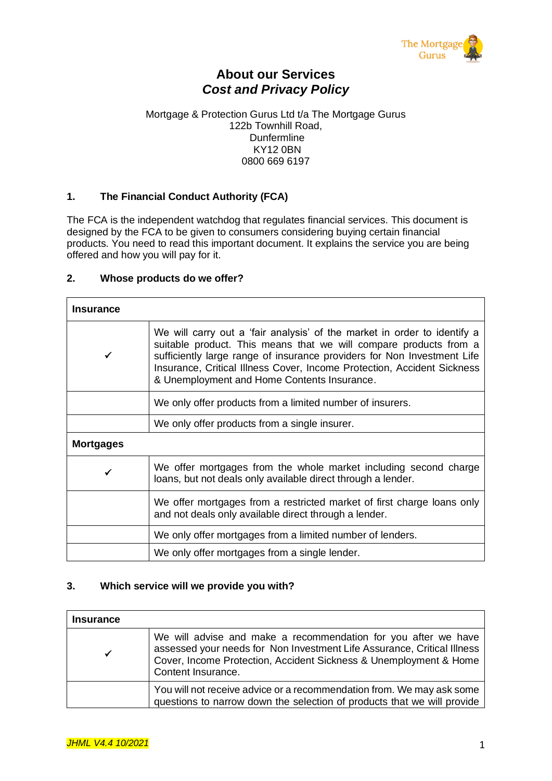

# **About our Services** *Cost and Privacy Policy*

#### Mortgage & Protection Gurus Ltd t/a The Mortgage Gurus 122b Townhill Road, Dunfermline KY12 0BN 0800 669 6197

## **1. The Financial Conduct Authority (FCA)**

The FCA is the independent watchdog that regulates financial services. This document is designed by the FCA to be given to consumers considering buying certain financial products. You need to read this important document. It explains the service you are being offered and how you will pay for it.

### **2. Whose products do we offer?**

| <b>Insurance</b> |                                                                                                                                                                                                                                                                                                                                                    |  |  |  |  |  |
|------------------|----------------------------------------------------------------------------------------------------------------------------------------------------------------------------------------------------------------------------------------------------------------------------------------------------------------------------------------------------|--|--|--|--|--|
| ✓                | We will carry out a 'fair analysis' of the market in order to identify a<br>suitable product. This means that we will compare products from a<br>sufficiently large range of insurance providers for Non Investment Life<br>Insurance, Critical Illness Cover, Income Protection, Accident Sickness<br>& Unemployment and Home Contents Insurance. |  |  |  |  |  |
|                  | We only offer products from a limited number of insurers.                                                                                                                                                                                                                                                                                          |  |  |  |  |  |
|                  | We only offer products from a single insurer.                                                                                                                                                                                                                                                                                                      |  |  |  |  |  |
| <b>Mortgages</b> |                                                                                                                                                                                                                                                                                                                                                    |  |  |  |  |  |
|                  | We offer mortgages from the whole market including second charge<br>loans, but not deals only available direct through a lender.                                                                                                                                                                                                                   |  |  |  |  |  |
|                  | We offer mortgages from a restricted market of first charge loans only<br>and not deals only available direct through a lender.                                                                                                                                                                                                                    |  |  |  |  |  |
|                  | We only offer mortgages from a limited number of lenders.                                                                                                                                                                                                                                                                                          |  |  |  |  |  |
|                  | We only offer mortgages from a single lender.                                                                                                                                                                                                                                                                                                      |  |  |  |  |  |

## **3. Which service will we provide you with?**

| <b>Insurance</b> |                                                                                                                                                                                                                                      |
|------------------|--------------------------------------------------------------------------------------------------------------------------------------------------------------------------------------------------------------------------------------|
|                  | We will advise and make a recommendation for you after we have<br>assessed your needs for Non Investment Life Assurance, Critical Illness<br>Cover, Income Protection, Accident Sickness & Unemployment & Home<br>Content Insurance. |
|                  | You will not receive advice or a recommendation from. We may ask some<br>questions to narrow down the selection of products that we will provide                                                                                     |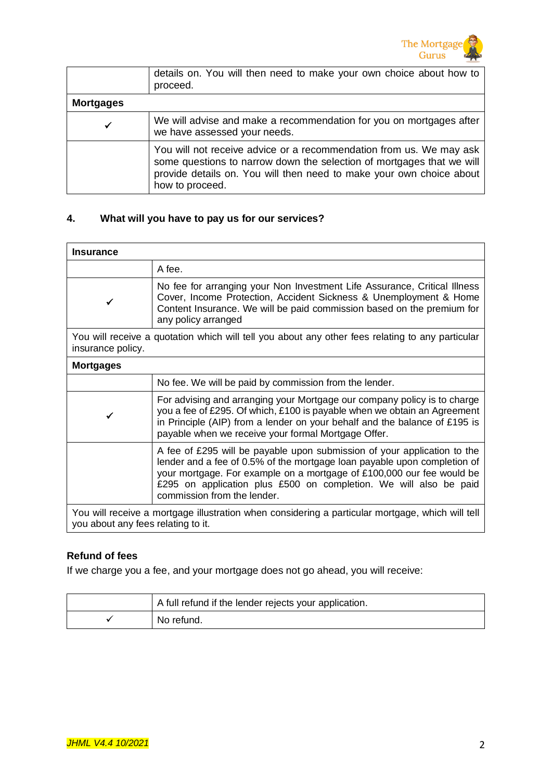

|                  | details on. You will then need to make your own choice about how to<br>proceed.                                                                                                                                                         |
|------------------|-----------------------------------------------------------------------------------------------------------------------------------------------------------------------------------------------------------------------------------------|
| <b>Mortgages</b> |                                                                                                                                                                                                                                         |
| ✔                | We will advise and make a recommendation for you on mortgages after<br>we have assessed your needs.                                                                                                                                     |
|                  | You will not receive advice or a recommendation from us. We may ask<br>some questions to narrow down the selection of mortgages that we will<br>provide details on. You will then need to make your own choice about<br>how to proceed. |

## **4. What will you have to pay us for our services?**

| <b>Insurance</b>  |                                                                                                                                                                                                                                                                                                                                   |  |  |  |  |
|-------------------|-----------------------------------------------------------------------------------------------------------------------------------------------------------------------------------------------------------------------------------------------------------------------------------------------------------------------------------|--|--|--|--|
|                   | A fee.                                                                                                                                                                                                                                                                                                                            |  |  |  |  |
|                   | No fee for arranging your Non Investment Life Assurance, Critical Illness<br>Cover, Income Protection, Accident Sickness & Unemployment & Home<br>Content Insurance. We will be paid commission based on the premium for<br>any policy arranged                                                                                   |  |  |  |  |
| insurance policy. | You will receive a quotation which will tell you about any other fees relating to any particular                                                                                                                                                                                                                                  |  |  |  |  |
| <b>Mortgages</b>  |                                                                                                                                                                                                                                                                                                                                   |  |  |  |  |
|                   | No fee. We will be paid by commission from the lender.                                                                                                                                                                                                                                                                            |  |  |  |  |
|                   | For advising and arranging your Mortgage our company policy is to charge<br>you a fee of £295. Of which, £100 is payable when we obtain an Agreement<br>in Principle (AIP) from a lender on your behalf and the balance of £195 is<br>payable when we receive your formal Mortgage Offer.                                         |  |  |  |  |
|                   | A fee of £295 will be payable upon submission of your application to the<br>lender and a fee of 0.5% of the mortgage loan payable upon completion of<br>your mortgage. For example on a mortgage of £100,000 our fee would be<br>£295 on application plus £500 on completion. We will also be paid<br>commission from the lender. |  |  |  |  |
| $\sqrt{ }$        | the contract of the contract of the contract of the contract of the contract of the contract of the contract of                                                                                                                                                                                                                   |  |  |  |  |

You will receive a mortgage illustration when considering a particular mortgage, which will tell you about any fees relating to it.

# **Refund of fees**

If we charge you a fee, and your mortgage does not go ahead, you will receive:

| A full refund if the lender rejects your application. |  |  |
|-------------------------------------------------------|--|--|
| No refund.                                            |  |  |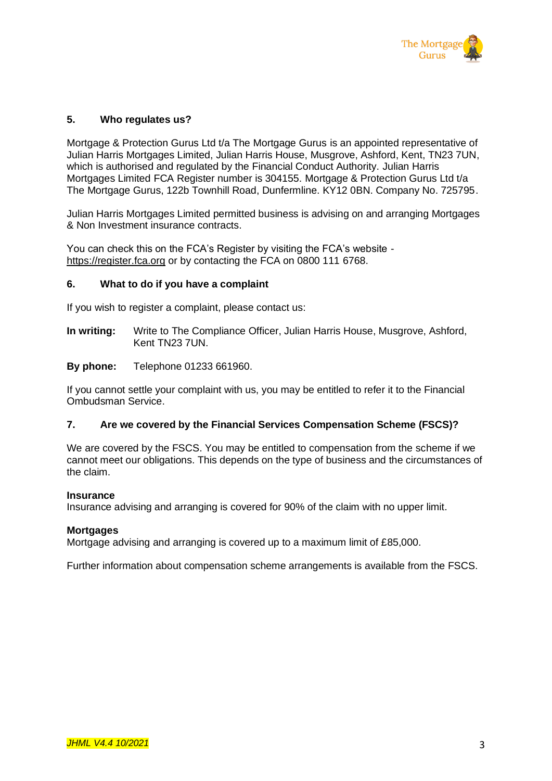

### **5. Who regulates us?**

Mortgage & Protection Gurus Ltd t/a The Mortgage Gurus is an appointed representative of Julian Harris Mortgages Limited, Julian Harris House, Musgrove, Ashford, Kent, TN23 7UN, which is authorised and regulated by the Financial Conduct Authority. Julian Harris Mortgages Limited FCA Register number is 304155. Mortgage & Protection Gurus Ltd t/a The Mortgage Gurus, 122b Townhill Road, Dunfermline. KY12 0BN. Company No. 725795.

Julian Harris Mortgages Limited permitted business is advising on and arranging Mortgages & Non Investment insurance contracts.

You can check this on the FCA's Register by visiting the FCA's website https://register.fca.org or by contacting the FCA on 0800 111 6768.

### **6. What to do if you have a complaint**

If you wish to register a complaint, please contact us:

**In writing:** Write to The Compliance Officer, Julian Harris House, Musgrove, Ashford, Kent TN23 7UN.

### **By phone:** Telephone 01233 661960.

If you cannot settle your complaint with us, you may be entitled to refer it to the Financial Ombudsman Service.

### **7. Are we covered by the Financial Services Compensation Scheme (FSCS)?**

We are covered by the FSCS. You may be entitled to compensation from the scheme if we cannot meet our obligations. This depends on the type of business and the circumstances of the claim.

#### **Insurance**

Insurance advising and arranging is covered for 90% of the claim with no upper limit.

#### **Mortgages**

Mortgage advising and arranging is covered up to a maximum limit of £85,000.

Further information about compensation scheme arrangements is available from the FSCS.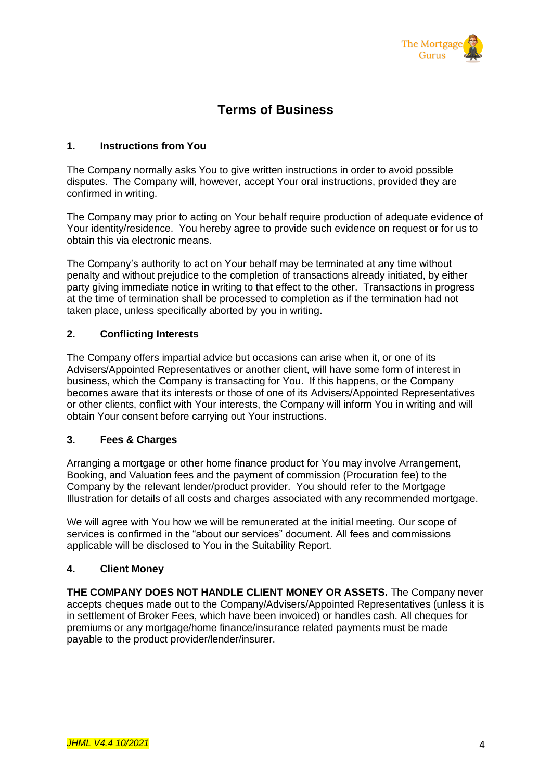

# **Terms of Business**

### **1. Instructions from You**

The Company normally asks You to give written instructions in order to avoid possible disputes. The Company will, however, accept Your oral instructions, provided they are confirmed in writing.

The Company may prior to acting on Your behalf require production of adequate evidence of Your identity/residence. You hereby agree to provide such evidence on request or for us to obtain this via electronic means.

The Company's authority to act on Your behalf may be terminated at any time without penalty and without prejudice to the completion of transactions already initiated, by either party giving immediate notice in writing to that effect to the other. Transactions in progress at the time of termination shall be processed to completion as if the termination had not taken place, unless specifically aborted by you in writing.

### **2. Conflicting Interests**

The Company offers impartial advice but occasions can arise when it, or one of its Advisers/Appointed Representatives or another client, will have some form of interest in business, which the Company is transacting for You. If this happens, or the Company becomes aware that its interests or those of one of its Advisers/Appointed Representatives or other clients, conflict with Your interests, the Company will inform You in writing and will obtain Your consent before carrying out Your instructions.

### **3. Fees & Charges**

Arranging a mortgage or other home finance product for You may involve Arrangement, Booking, and Valuation fees and the payment of commission (Procuration fee) to the Company by the relevant lender/product provider. You should refer to the Mortgage Illustration for details of all costs and charges associated with any recommended mortgage.

We will agree with You how we will be remunerated at the initial meeting. Our scope of services is confirmed in the "about our services" document. All fees and commissions applicable will be disclosed to You in the Suitability Report.

# **4. Client Money**

**THE COMPANY DOES NOT HANDLE CLIENT MONEY OR ASSETS.** The Company never accepts cheques made out to the Company/Advisers/Appointed Representatives (unless it is in settlement of Broker Fees, which have been invoiced) or handles cash. All cheques for premiums or any mortgage/home finance/insurance related payments must be made payable to the product provider/lender/insurer.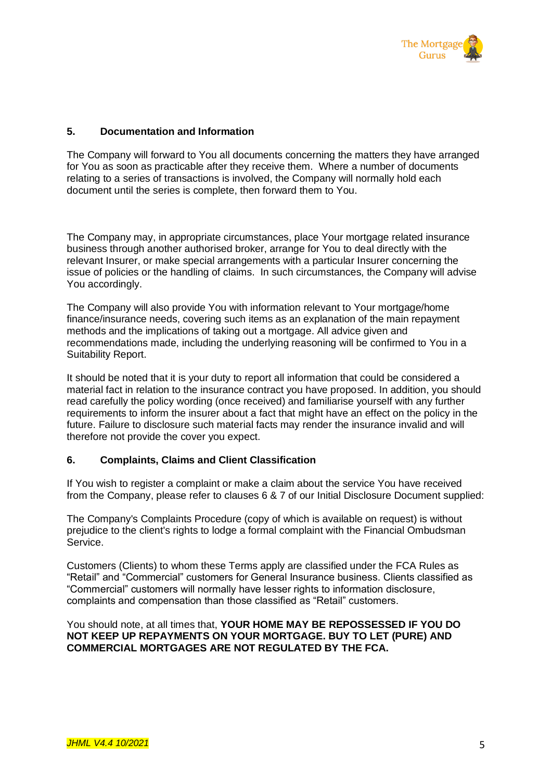

### **5. Documentation and Information**

The Company will forward to You all documents concerning the matters they have arranged for You as soon as practicable after they receive them. Where a number of documents relating to a series of transactions is involved, the Company will normally hold each document until the series is complete, then forward them to You.

The Company may, in appropriate circumstances, place Your mortgage related insurance business through another authorised broker, arrange for You to deal directly with the relevant Insurer, or make special arrangements with a particular Insurer concerning the issue of policies or the handling of claims. In such circumstances, the Company will advise You accordingly.

The Company will also provide You with information relevant to Your mortgage/home finance/insurance needs, covering such items as an explanation of the main repayment methods and the implications of taking out a mortgage. All advice given and recommendations made, including the underlying reasoning will be confirmed to You in a Suitability Report.

It should be noted that it is your duty to report all information that could be considered a material fact in relation to the insurance contract you have proposed. In addition, you should read carefully the policy wording (once received) and familiarise yourself with any further requirements to inform the insurer about a fact that might have an effect on the policy in the future. Failure to disclosure such material facts may render the insurance invalid and will therefore not provide the cover you expect.

### **6. Complaints, Claims and Client Classification**

If You wish to register a complaint or make a claim about the service You have received from the Company, please refer to clauses 6 & 7 of our Initial Disclosure Document supplied:

The Company's Complaints Procedure (copy of which is available on request) is without prejudice to the client's rights to lodge a formal complaint with the Financial Ombudsman Service.

Customers (Clients) to whom these Terms apply are classified under the FCA Rules as "Retail" and "Commercial" customers for General Insurance business. Clients classified as "Commercial" customers will normally have lesser rights to information disclosure, complaints and compensation than those classified as "Retail" customers.

You should note, at all times that, **YOUR HOME MAY BE REPOSSESSED IF YOU DO NOT KEEP UP REPAYMENTS ON YOUR MORTGAGE. BUY TO LET (PURE) AND COMMERCIAL MORTGAGES ARE NOT REGULATED BY THE FCA.**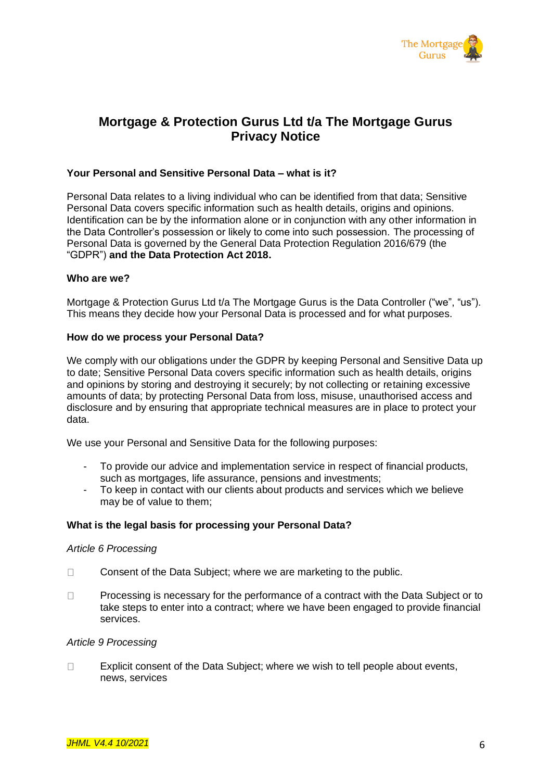

# **Mortgage & Protection Gurus Ltd t/a The Mortgage Gurus Privacy Notice**

### **Your Personal and Sensitive Personal Data – what is it?**

Personal Data relates to a living individual who can be identified from that data; Sensitive Personal Data covers specific information such as health details, origins and opinions. Identification can be by the information alone or in conjunction with any other information in the Data Controller's possession or likely to come into such possession. The processing of Personal Data is governed by the General Data Protection Regulation 2016/679 (the "GDPR") **and the Data Protection Act 2018.**

### **Who are we?**

Mortgage & Protection Gurus Ltd t/a The Mortgage Gurus is the Data Controller ("we", "us"). This means they decide how your Personal Data is processed and for what purposes.

#### **How do we process your Personal Data?**

We comply with our obligations under the GDPR by keeping Personal and Sensitive Data up to date; Sensitive Personal Data covers specific information such as health details, origins and opinions by storing and destroying it securely; by not collecting or retaining excessive amounts of data; by protecting Personal Data from loss, misuse, unauthorised access and disclosure and by ensuring that appropriate technical measures are in place to protect your data.

We use your Personal and Sensitive Data for the following purposes:

- To provide our advice and implementation service in respect of financial products, such as mortgages, life assurance, pensions and investments;
- To keep in contact with our clients about products and services which we believe may be of value to them;

### **What is the legal basis for processing your Personal Data?**

#### *Article 6 Processing*

- $\Box$ Consent of the Data Subject; where we are marketing to the public.
- Processing is necessary for the performance of a contract with the Data Subject or to  $\Box$ take steps to enter into a contract; where we have been engaged to provide financial services.

#### *Article 9 Processing*

 $\Box$ Explicit consent of the Data Subject; where we wish to tell people about events, news, services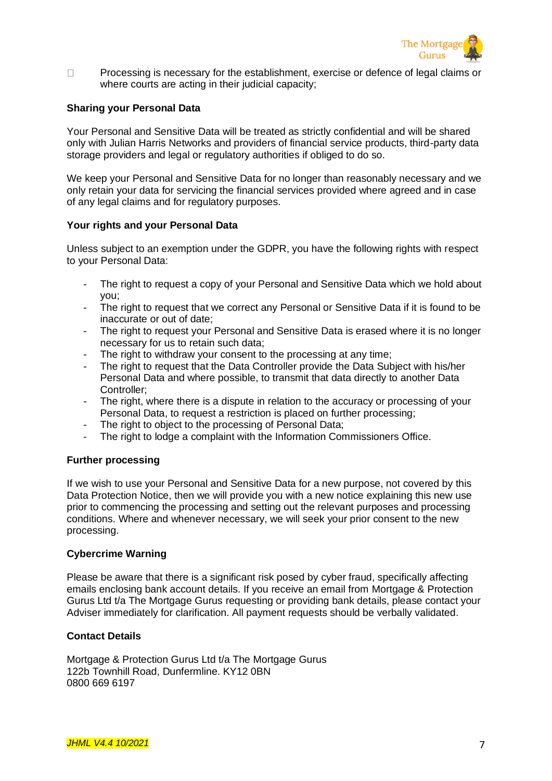

 $\Box$ Processing is necessary for the establishment, exercise or defence of legal claims or where courts are acting in their judicial capacity;

### **Sharing your Personal Data**

Your Personal and Sensitive Data will be treated as strictly confidential and will be shared only with Julian Harris Networks and providers of financial service products, third-party data storage providers and legal or regulatory authorities if obliged to do so.

We keep your Personal and Sensitive Data for no longer than reasonably necessary and we only retain your data for servicing the financial services provided where agreed and in case of any legal claims and for regulatory purposes.

### **Your rights and your Personal Data**

Unless subject to an exemption under the GDPR, you have the following rights with respect to your Personal Data:

- The right to request a copy of your Personal and Sensitive Data which we hold about you;
- The right to request that we correct any Personal or Sensitive Data if it is found to be inaccurate or out of date;
- The right to request your Personal and Sensitive Data is erased where it is no longer necessary for us to retain such data;
- The right to withdraw your consent to the processing at any time;
- The right to request that the Data Controller provide the Data Subject with his/her Personal Data and where possible, to transmit that data directly to another Data Controller;
- The right, where there is a dispute in relation to the accuracy or processing of your Personal Data, to request a restriction is placed on further processing;
- The right to object to the processing of Personal Data;
- The right to lodge a complaint with the Information Commissioners Office.

### **Further processing**

If we wish to use your Personal and Sensitive Data for a new purpose, not covered by this Data Protection Notice, then we will provide you with a new notice explaining this new use prior to commencing the processing and setting out the relevant purposes and processing conditions. Where and whenever necessary, we will seek your prior consent to the new processing.

### **Cybercrime Warning**

Please be aware that there is a significant risk posed by cyber fraud, specifically affecting emails enclosing bank account details. If you receive an email from Mortgage & Protection Gurus Ltd t/a The Mortgage Gurus requesting or providing bank details, please contact your Adviser immediately for clarification. All payment requests should be verbally validated.

### **Contact Details**

Mortgage & Protection Gurus Ltd t/a The Mortgage Gurus 122b Townhill Road, Dunfermline. KY12 0BN 0800 669 6197